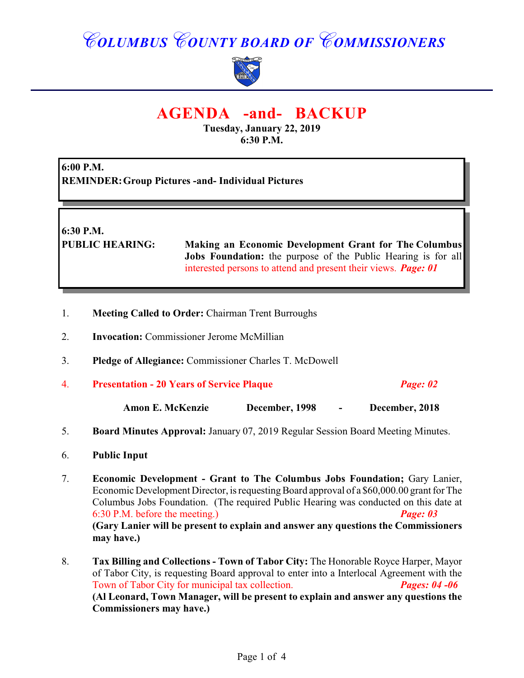# *COLUMBUS COUNTY BOARD OF COMMISSIONERS*



## **AGENDA -and- BACKUP**

**Tuesday, January 22, 2019 6:30 P.M.**

**6:00 P.M. REMINDER:Group Pictures -and- Individual Pictures**

**6:30 P.M.**

**PUBLIC HEARING: Making an Economic Development Grant for The Columbus Jobs Foundation:** the purpose of the Public Hearing is for all interested persons to attend and present their views. *Page: 01*

- 1. **Meeting Called to Order:** Chairman Trent Burroughs
- 2. **Invocation:** Commissioner Jerome McMillian
- 3. **Pledge of Allegiance:** Commissioner Charles T. McDowell
- 4. **Presentation 20 Years of Service Plaque** *Page: 02*

**Amon E. McKenzie December, 1998 - December, 2018**

- 5. **Board Minutes Approval:** January 07, 2019 Regular Session Board Meeting Minutes.
- 6. **Public Input**
- 7. **Economic Development Grant to The Columbus Jobs Foundation;** Gary Lanier, Economic Development Director, is requesting Board approval of a \$60,000.00 grant for The Columbus Jobs Foundation. (The required Public Hearing was conducted on this date at 6:30 P.M. before the meeting.) *Page: 03*  **(Gary Lanier will be present to explain and answer any questions the Commissioners may have.)**
- 8. **Tax Billing and Collections Town of Tabor City:** The Honorable Royce Harper, Mayor of Tabor City, is requesting Board approval to enter into a Interlocal Agreement with the Town of Tabor City for municipal tax collection. *Pages: 04 -06* **(Al Leonard, Town Manager, will be present to explain and answer any questions the Commissioners may have.)**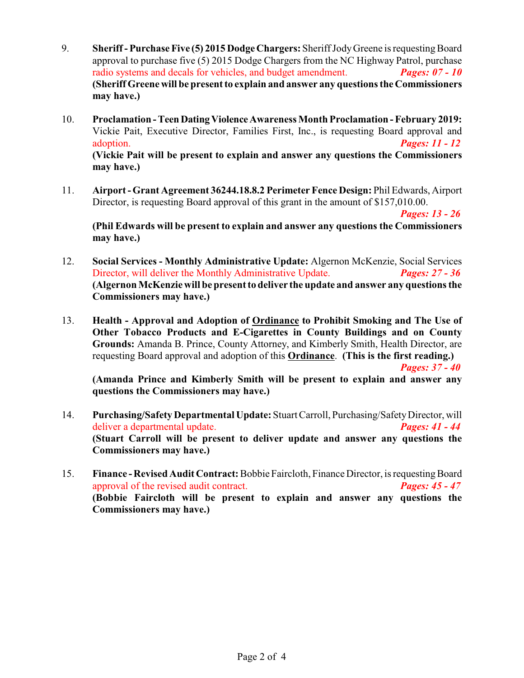- 9. **Sheriff Purchase Five (5) 2015 Dodge Chargers:**Sheriff Jody Greene is requesting Board approval to purchase five (5) 2015 Dodge Chargers from the NC Highway Patrol, purchase radio systems and decals for vehicles, and budget amendment. *Pages: 07 - 10* **(Sheriff Greene will be present to explain and answer any questionsthe Commissioners may have.)**
- 10. **Proclamation Teen Dating Violence Awareness Month Proclamation February 2019:** Vickie Pait, Executive Director, Families First, Inc., is requesting Board approval and adoption. *Pages: 11 - 12* **(Vickie Pait will be present to explain and answer any questions the Commissioners may have.)**
- 11. **Airport Grant Agreement 36244.18.8.2 Perimeter Fence Design:** Phil Edwards, Airport Director, is requesting Board approval of this grant in the amount of \$157,010.00.

**(Phil Edwards will be present to explain and answer any questions the Commissioners may have.)**

- 12. **Social Services Monthly Administrative Update:** Algernon McKenzie, Social Services Director, will deliver the Monthly Administrative Update. *Pages: 27 - 36* **(Algernon McKenziewill be presentto deliver the update and answer any questions the Commissioners may have.)**
- 13. **Health Approval and Adoption of Ordinance to Prohibit Smoking and The Use of Other Tobacco Products and E-Cigarettes in County Buildings and on County Grounds:** Amanda B. Prince, County Attorney, and Kimberly Smith, Health Director, are requesting Board approval and adoption of this **Ordinance**. **(This is the first reading.)**

 *Pages: 37 - 40*

*Pages: 13 - 26*

**(Amanda Prince and Kimberly Smith will be present to explain and answer any questions the Commissioners may have.)**

- 14. **Purchasing/Safety Departmental Update:** Stuart Carroll, Purchasing/Safety Director, will deliver a departmental update. *Pages: 41 - 44* **(Stuart Carroll will be present to deliver update and answer any questions the Commissioners may have.)**
- 15. **Finance Revised Audit Contract:** Bobbie Faircloth, Finance Director, is requesting Board approval of the revised audit contract. *Pages: 45 - 47* **(Bobbie Faircloth will be present to explain and answer any questions the Commissioners may have.)**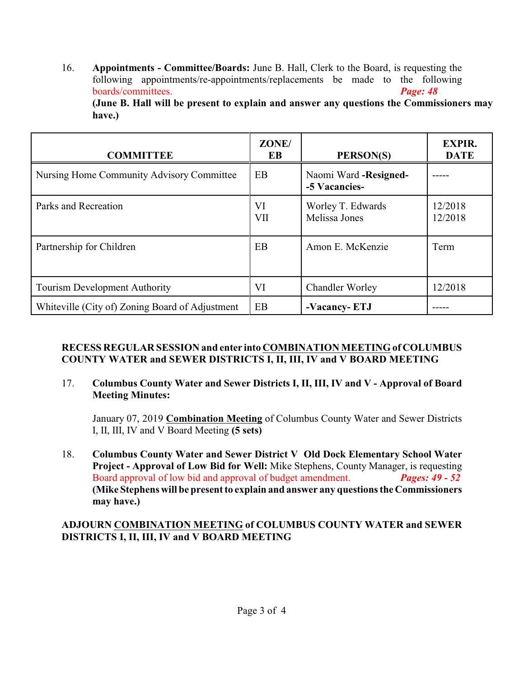16. **Appointments - Committee/Boards:** June B. Hall, Clerk to the Board, is requesting the following appointments/re-appointments/replacements be made to the following boards/committees. *Page: 48*

**(June B. Hall will be present to explain and answer any questions the Commissioners may have.)**

| <b>COMMITTEE</b>                                | ZONE/<br>EB      | PERSON(S)                               | <b>EXPIR.</b><br><b>DATE</b> |
|-------------------------------------------------|------------------|-----------------------------------------|------------------------------|
| Nursing Home Community Advisory Committee       | EB               | Naomi Ward - Resigned-<br>-5 Vacancies- |                              |
| Parks and Recreation                            | VI<br><b>VII</b> | Worley T. Edwards<br>Melissa Jones      | 12/2018<br>12/2018           |
| Partnership for Children                        | EB               | Amon E. McKenzie                        | Term                         |
| <b>Tourism Development Authority</b>            | VI               | <b>Chandler Worley</b>                  | 12/2018                      |
| Whiteville (City of) Zoning Board of Adjustment | EB               | -Vacancy-ETJ                            |                              |

#### **RECESS REGULAR SESSION and enter into COMBINATION MEETING of COLUMBUS COUNTY WATER and SEWER DISTRICTS I, II, III, IV and V BOARD MEETING**

17. **Columbus County Water and Sewer Districts I, II, III, IV and V - Approval of Board Meeting Minutes:**

January 07, 2019 **Combination Meeting** of Columbus County Water and Sewer Districts I, II, III, IV and V Board Meeting **(5 sets)**

18. **Columbus County Water and Sewer District V Old Dock Elementary School Water Project - Approval of Low Bid for Well:** Mike Stephens, County Manager, is requesting Board approval of low bid and approval of budget amendment. *Pages: 49 - 52* **(Mike Stephens will be present to explain and answer any questions the Commissioners may have.)**

#### **ADJOURN COMBINATION MEETING of COLUMBUS COUNTY WATER and SEWER DISTRICTS I, II, III, IV and V BOARD MEETING**